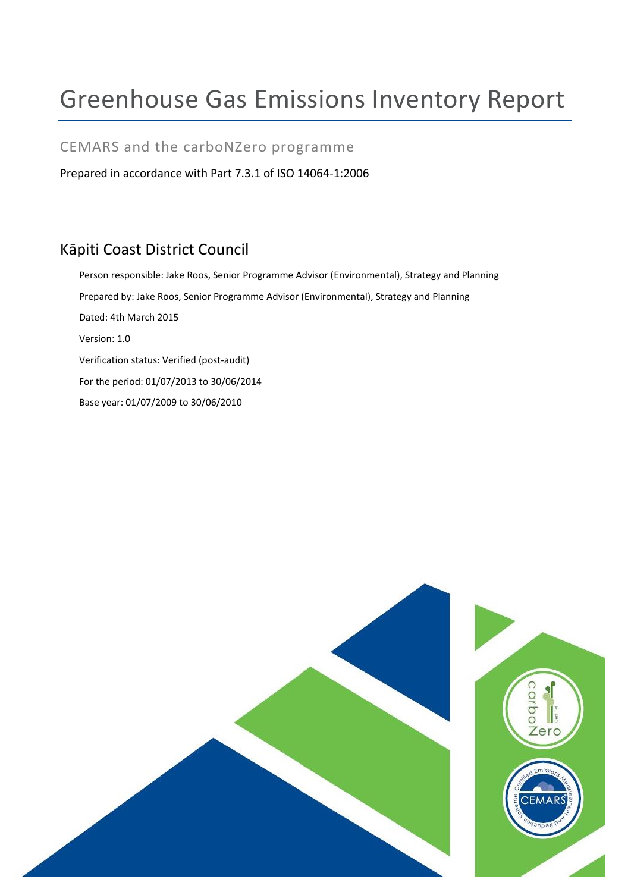# Greenhouse Gas Emissions Inventory Report

### CEMARS and the carboNZero programme

Prepared in accordance with Part 7.3.1 of ISO 14064-1:2006

# Kāpiti Coast District Council

Person responsible: Jake Roos, Senior Programme Advisor (Environmental), Strategy and Planning Prepared by: Jake Roos, Senior Programme Advisor (Environmental), Strategy and Planning Dated: 4th March 2015 Version: 1.0 Verification status: Verified (post-audit) For the period: 01/07/2013 to 30/06/2014 Base year: 01/07/2009 to 30/06/2010

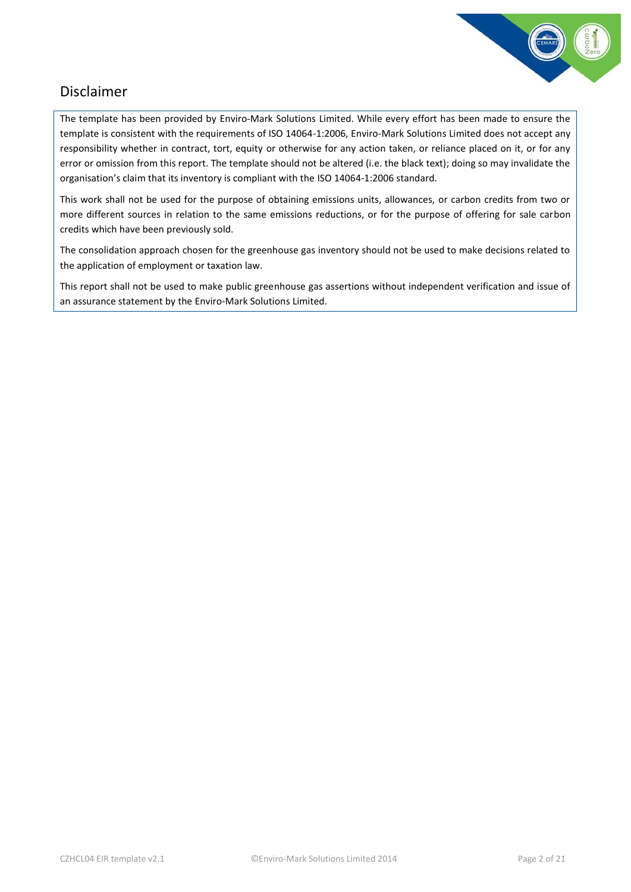

# <span id="page-1-0"></span>Disclaimer

The template has been provided by Enviro-Mark Solutions Limited. While every effort has been made to ensure the template is consistent with the requirements of ISO 14064-1:2006, Enviro-Mark Solutions Limited does not accept any responsibility whether in contract, tort, equity or otherwise for any action taken, or reliance placed on it, or for any error or omission from this report. The template should not be altered (i.e. the black text); doing so may invalidate the organisation's claim that its inventory is compliant with the ISO 14064-1:2006 standard.

This work shall not be used for the purpose of obtaining emissions units, allowances, or carbon credits from two or more different sources in relation to the same emissions reductions, or for the purpose of offering for sale carbon credits which have been previously sold.

The consolidation approach chosen for the greenhouse gas inventory should not be used to make decisions related to the application of employment or taxation law.

This report shall not be used to make public greenhouse gas assertions without independent verification and issue of an assurance statement by the Enviro-Mark Solutions Limited.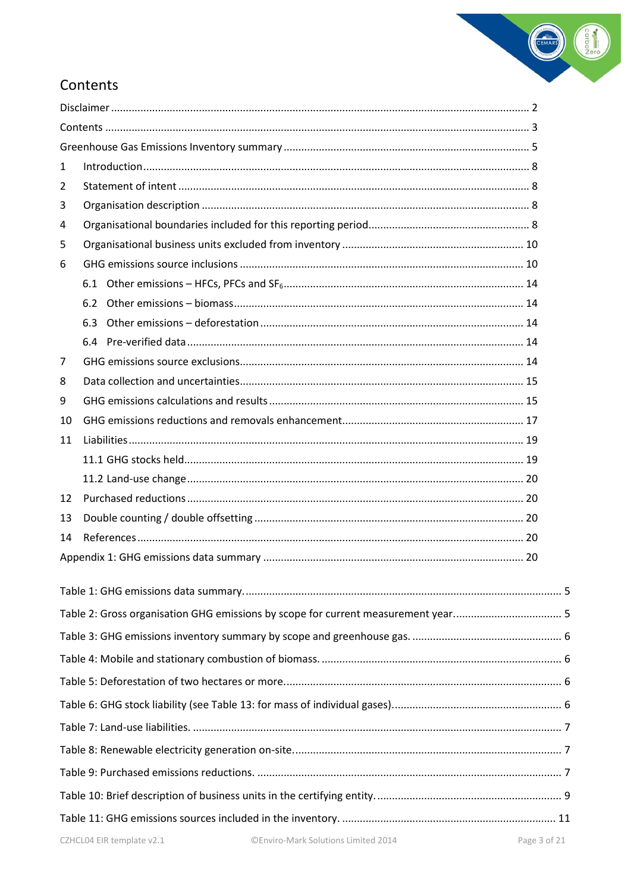

# <span id="page-2-0"></span>Contents

| $\mathbf{1}$ |     |  |
|--------------|-----|--|
| 2            |     |  |
| 3            |     |  |
| 4            |     |  |
| 5            |     |  |
| 6            |     |  |
|              |     |  |
|              | 6.2 |  |
|              | 6.3 |  |
|              |     |  |
| 7            |     |  |
| 8            |     |  |
| 9            |     |  |
| 10           |     |  |
| 11           |     |  |
|              |     |  |
|              |     |  |
| 12           |     |  |
| 13           |     |  |
| 14           |     |  |
|              |     |  |
|              |     |  |
|              |     |  |
|              |     |  |
|              |     |  |
|              |     |  |
|              |     |  |
|              |     |  |
|              |     |  |
|              |     |  |
|              |     |  |
|              |     |  |
|              |     |  |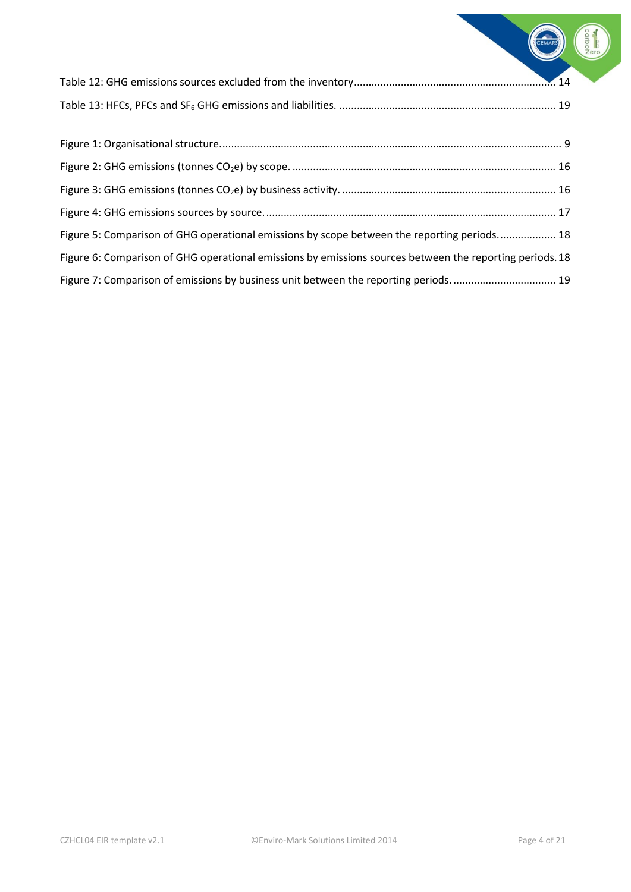CEMARS

| Figure 5: Comparison of GHG operational emissions by scope between the reporting periods 18              |  |
|----------------------------------------------------------------------------------------------------------|--|
| Figure 6: Comparison of GHG operational emissions by emissions sources between the reporting periods. 18 |  |
|                                                                                                          |  |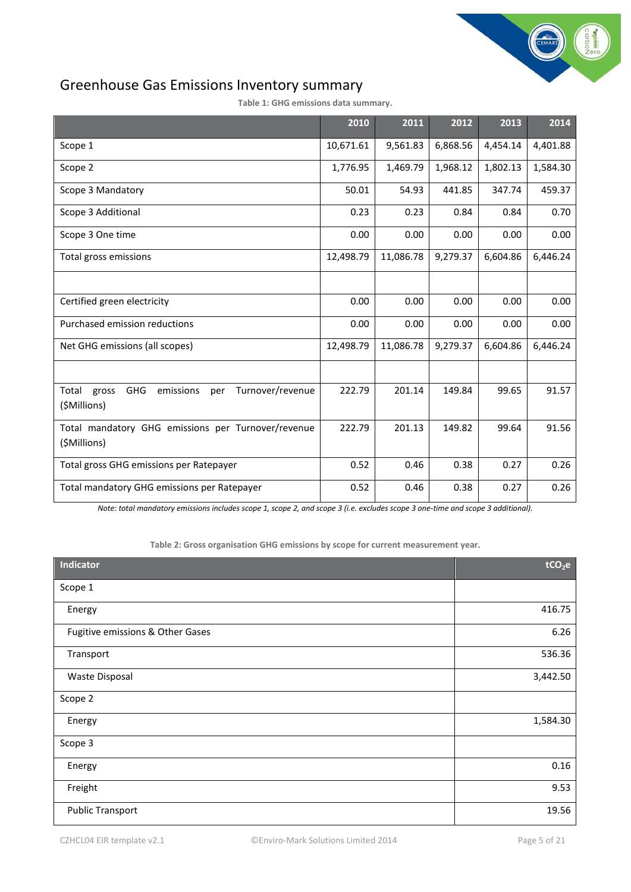

# <span id="page-4-0"></span>Greenhouse Gas Emissions Inventory summary

<span id="page-4-1"></span>

|                                                                                   | 2010      | 2011      | 2012     | 2013     | 2014     |
|-----------------------------------------------------------------------------------|-----------|-----------|----------|----------|----------|
| Scope 1                                                                           | 10,671.61 | 9,561.83  | 6,868.56 | 4,454.14 | 4,401.88 |
| Scope 2                                                                           | 1,776.95  | 1,469.79  | 1,968.12 | 1,802.13 | 1,584.30 |
| Scope 3 Mandatory                                                                 | 50.01     | 54.93     | 441.85   | 347.74   | 459.37   |
| Scope 3 Additional                                                                | 0.23      | 0.23      | 0.84     | 0.84     | 0.70     |
| Scope 3 One time                                                                  | 0.00      | 0.00      | 0.00     | 0.00     | 0.00     |
| Total gross emissions                                                             | 12,498.79 | 11,086.78 | 9,279.37 | 6,604.86 | 6,446.24 |
|                                                                                   |           |           |          |          |          |
| Certified green electricity                                                       | 0.00      | 0.00      | 0.00     | 0.00     | 0.00     |
| Purchased emission reductions                                                     | 0.00      | 0.00      | 0.00     | 0.00     | 0.00     |
| Net GHG emissions (all scopes)                                                    | 12,498.79 | 11,086.78 | 9,279.37 | 6,604.86 | 6,446.24 |
|                                                                                   |           |           |          |          |          |
| Turnover/revenue<br>Total gross<br><b>GHG</b><br>emissions<br>per<br>(\$Millions) | 222.79    | 201.14    | 149.84   | 99.65    | 91.57    |
| Total mandatory GHG emissions per Turnover/revenue<br>(\$Millions)                | 222.79    | 201.13    | 149.82   | 99.64    | 91.56    |
| Total gross GHG emissions per Ratepayer                                           | 0.52      | 0.46      | 0.38     | 0.27     | 0.26     |
| Total mandatory GHG emissions per Ratepayer                                       | 0.52      | 0.46      | 0.38     | 0.27     | 0.26     |

*Note: total mandatory emissions includes scope 1, scope 2, and scope 3 (i.e. excludes scope 3 one-time and scope 3 additional).*

**Table 2: Gross organisation GHG emissions by scope for current measurement year.**

<span id="page-4-2"></span>

| Indicator                        | tCO <sub>2</sub> e |
|----------------------------------|--------------------|
| Scope 1                          |                    |
| Energy                           | 416.75             |
| Fugitive emissions & Other Gases | 6.26               |
| Transport                        | 536.36             |
| <b>Waste Disposal</b>            | 3,442.50           |
| Scope 2                          |                    |
| Energy                           | 1,584.30           |
| Scope 3                          |                    |
| Energy                           | $0.16\,$           |
| Freight                          | 9.53               |
| <b>Public Transport</b>          | 19.56              |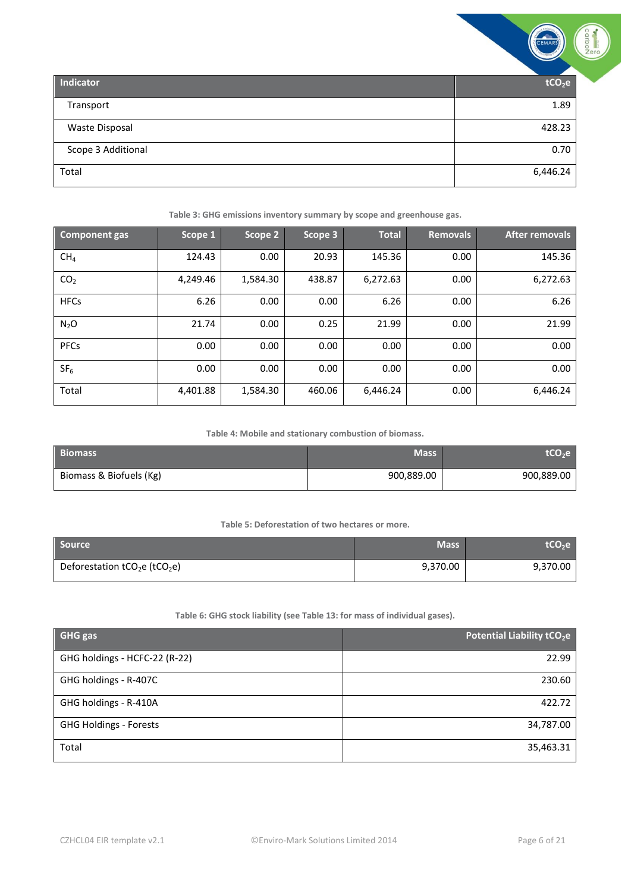|                       | <b>CEMARS</b>      | Production |
|-----------------------|--------------------|------------|
| <b>Indicator</b>      | tCO <sub>2</sub> e |            |
| Transport             | 1.89               |            |
| <b>Waste Disposal</b> | 428.23             |            |
| Scope 3 Additional    | 0.70               |            |
| Total                 | 6,446.24           |            |

**Table 3: GHG emissions inventory summary by scope and greenhouse gas.**

<span id="page-5-0"></span>

| <b>Component gas</b> | Scope 1  | Scope 2  | Scope 3 | <b>Total</b> | <b>Removals</b> | <b>After removals</b> |
|----------------------|----------|----------|---------|--------------|-----------------|-----------------------|
| CH <sub>4</sub>      | 124.43   | 0.00     | 20.93   | 145.36       | 0.00            | 145.36                |
| CO <sub>2</sub>      | 4,249.46 | 1,584.30 | 438.87  | 6,272.63     | 0.00            | 6,272.63              |
| <b>HFCs</b>          | 6.26     | 0.00     | 0.00    | 6.26         | 0.00            | 6.26                  |
| $N_2O$               | 21.74    | 0.00     | 0.25    | 21.99        | 0.00            | 21.99                 |
| PFCs                 | 0.00     | 0.00     | 0.00    | 0.00         | 0.00            | 0.00                  |
| SF <sub>6</sub>      | 0.00     | 0.00     | 0.00    | 0.00         | 0.00            | 0.00                  |
| Total                | 4,401.88 | 1,584.30 | 460.06  | 6,446.24     | 0.00            | 6,446.24              |

**Table 4: Mobile and stationary combustion of biomass.**

<span id="page-5-1"></span>

| <b>Biomass</b>          | <b>Mass</b> | tCO <sub>2</sub> e |
|-------------------------|-------------|--------------------|
| Biomass & Biofuels (Kg) | 900,889.00  | 900,889.00         |

#### **Table 5: Deforestation of two hectares or more.**

<span id="page-5-2"></span>

| <b>Source</b>                                         | <b>Mass</b> | <b>LCO<sub>2</sub>e</b> |
|-------------------------------------------------------|-------------|-------------------------|
| Deforestation tCO <sub>2</sub> e (tCO <sub>2</sub> e) | 9,370.00    | 9,370.00                |

#### **Table 6: GHG stock liability (see Table 13: for mass of individual gases).**

<span id="page-5-3"></span>

| <b>GHG gas</b>                | Potential Liability tCO <sub>2</sub> e |
|-------------------------------|----------------------------------------|
| GHG holdings - HCFC-22 (R-22) | 22.99                                  |
| GHG holdings - R-407C         | 230.60                                 |
| GHG holdings - R-410A         | 422.72                                 |
| <b>GHG Holdings - Forests</b> | 34,787.00                              |
| Total                         | 35,463.31                              |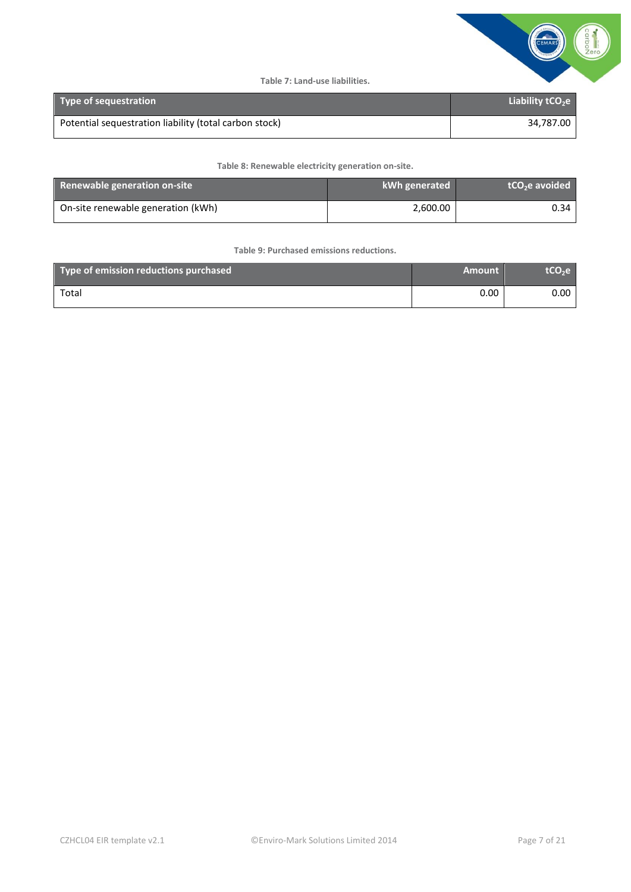

**Table 7: Land-use liabilities.** 

<span id="page-6-0"></span>

| <b>Type of sequestration</b>                           | Liability $tCO2e$ |
|--------------------------------------------------------|-------------------|
| Potential sequestration liability (total carbon stock) | 34.787.00         |

**Table 8: Renewable electricity generation on-site.**

<span id="page-6-1"></span>

| Renewable generation on-site       | kWh generated | tCO <sub>2</sub> e avoided |
|------------------------------------|---------------|----------------------------|
| On-site renewable generation (kWh) | 2,600.00      | 0.34                       |

**Table 9: Purchased emissions reductions.**

<span id="page-6-2"></span>

| Type of emission reductions purchased | <b>Amount</b> | tCO <sub>2</sub> e |
|---------------------------------------|---------------|--------------------|
| Total                                 | 0.00          | 0.00               |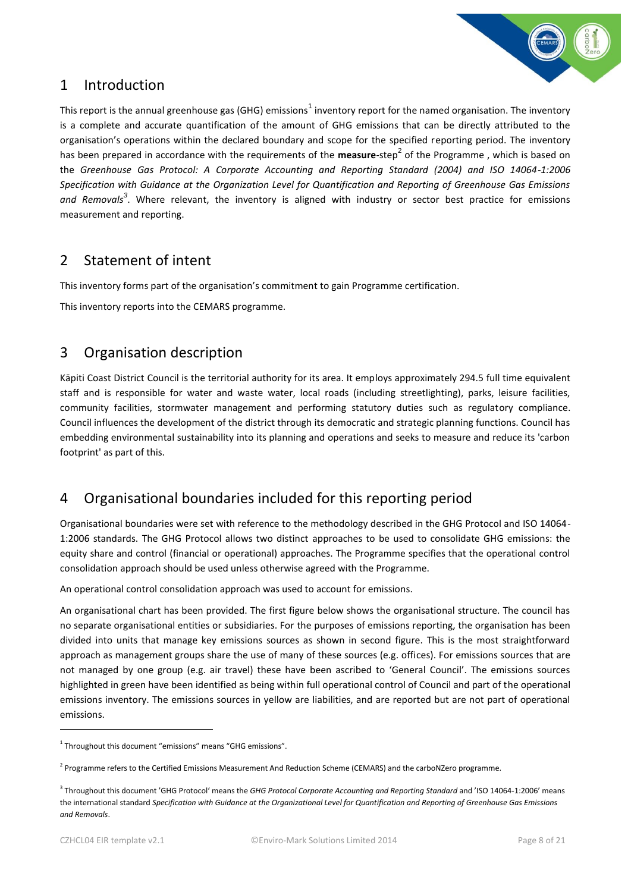

### <span id="page-7-0"></span>1 Introduction

This report is the annual greenhouse gas (GHG) emissions<sup>1</sup> inventory report for the named organisation. The inventory is a complete and accurate quantification of the amount of GHG emissions that can be directly attributed to the organisation's operations within the declared boundary and scope for the specified reporting period. The inventory has been prepared in accordance with the requirements of the **measure**-step<sup>2</sup> of the Programme, which is based on the *Greenhouse Gas Protocol: A Corporate Accounting and Reporting Standard (2004) and ISO 14064-1:2006 Specification with Guidance at the Organization Level for Quantification and Reporting of Greenhouse Gas Emissions and Removals<sup>3</sup>* . Where relevant, the inventory is aligned with industry or sector best practice for emissions measurement and reporting.

### <span id="page-7-1"></span>2 Statement of intent

This inventory forms part of the organisation's commitment to gain Programme certification.

This inventory reports into the CEMARS programme.

### <span id="page-7-2"></span>3 Organisation description

Kāpiti Coast District Council is the territorial authority for its area. It employs approximately 294.5 full time equivalent staff and is responsible for water and waste water, local roads (including streetlighting), parks, leisure facilities, community facilities, stormwater management and performing statutory duties such as regulatory compliance. Council influences the development of the district through its democratic and strategic planning functions. Council has embedding environmental sustainability into its planning and operations and seeks to measure and reduce its 'carbon footprint' as part of this.

# <span id="page-7-3"></span>4 Organisational boundaries included for this reporting period

Organisational boundaries were set with reference to the methodology described in the GHG Protocol and ISO 14064- 1:2006 standards. The GHG Protocol allows two distinct approaches to be used to consolidate GHG emissions: the equity share and control (financial or operational) approaches. The Programme specifies that the operational control consolidation approach should be used unless otherwise agreed with the Programme.

An operational control consolidation approach was used to account for emissions.

An organisational chart has been provided. The first figure below shows the organisational structure. The council has no separate organisational entities or subsidiaries. For the purposes of emissions reporting, the organisation has been divided into units that manage key emissions sources as shown in second figure. This is the most straightforward approach as management groups share the use of many of these sources (e.g. offices). For emissions sources that are not managed by one group (e.g. air travel) these have been ascribed to 'General Council'. The emissions sources highlighted in green have been identified as being within full operational control of Council and part of the operational emissions inventory. The emissions sources in yellow are liabilities, and are reported but are not part of operational emissions.

1

<sup>&</sup>lt;sup>1</sup> Throughout this document "emissions" means "GHG emissions".

<sup>&</sup>lt;sup>2</sup> Programme refers to the Certified Emissions Measurement And Reduction Scheme (CEMARS) and the carboNZero programme.

<sup>3</sup> Throughout this document 'GHG Protocol' means the *GHG Protocol Corporate Accounting and Reporting Standard* and 'ISO 14064-1:2006' means the international standard *Specification with Guidance at the Organizational Level for Quantification and Reporting of Greenhouse Gas Emissions and Removals*.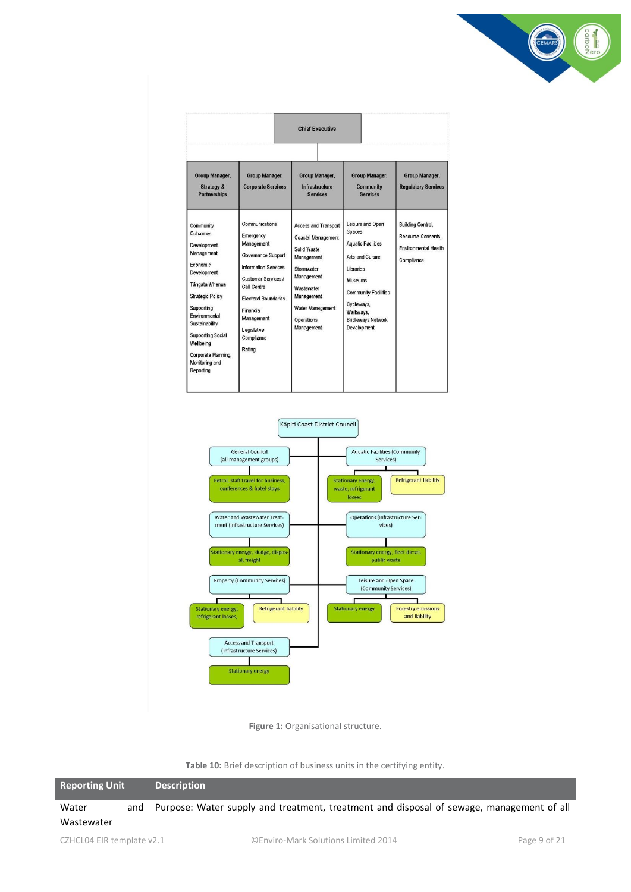

| <b>Chief Executive</b>                                                                                                                                                                                                                                                     |                                                                                                                                                                                                                                              |                                                                                                                                                                                                      |                                                                                                                                                                                                                                |                                                                                             |  |
|----------------------------------------------------------------------------------------------------------------------------------------------------------------------------------------------------------------------------------------------------------------------------|----------------------------------------------------------------------------------------------------------------------------------------------------------------------------------------------------------------------------------------------|------------------------------------------------------------------------------------------------------------------------------------------------------------------------------------------------------|--------------------------------------------------------------------------------------------------------------------------------------------------------------------------------------------------------------------------------|---------------------------------------------------------------------------------------------|--|
| Group Manager,<br><b>Strategy &amp;</b><br><b>Partnerships</b>                                                                                                                                                                                                             | Group Manager,<br><b>Corporate Services</b>                                                                                                                                                                                                  | Group Manager,<br><b>Infrastructure</b><br><b>Services</b>                                                                                                                                           | Group Manager,<br>Community<br><b>Services</b>                                                                                                                                                                                 | Group Manager,<br><b>Regulatory Services</b>                                                |  |
| Community<br>Outcomes<br>Development<br>Management<br>Economic<br>Development<br>Tängata Whenua<br><b>Strategic Policy</b><br>Supporting<br>Environmental<br>Sustainability<br><b>Supporting Social</b><br>Wellbeing<br>Corporate Planning,<br>Monitoring and<br>Reporting | Communications<br>Emergency<br>Management<br>Governance Support<br><b>Information Services</b><br><b>Customer Services /</b><br>Call Centre<br><b>Electoral Boundaries</b><br>Financial<br>Management<br>Legislative<br>Compliance<br>Rating | <b>Access and Transport</b><br><b>Coastal Management</b><br>Solid Waste<br>Management<br>Stormwater<br>Management<br><b>Wastewater</b><br>Management<br>Water Management<br>Operations<br>Management | Leisure and Open<br><b>Spaces</b><br><b>Aquatic Facilities</b><br>Arts and Culture<br><b>Libraries</b><br><b>Museums</b><br><b>Community Facilities</b><br>Cycleways,<br>Walkways.<br><b>Bridleways Network</b><br>Development | <b>Building Control,</b><br>Resource Consents,<br><b>Environmental Health</b><br>Compliance |  |





**Table 10:** Brief description of business units in the certifying entity.

<span id="page-8-1"></span><span id="page-8-0"></span>

| <b>Reporting Unit</b>      | <b>Description</b> |                                                                                          |              |
|----------------------------|--------------------|------------------------------------------------------------------------------------------|--------------|
| Water<br>and<br>Wastewater |                    | Purpose: Water supply and treatment, treatment and disposal of sewage, management of all |              |
| CZHCL04 EIR template v2.1  |                    | ©Enviro-Mark Solutions Limited 2014                                                      | Page 9 of 21 |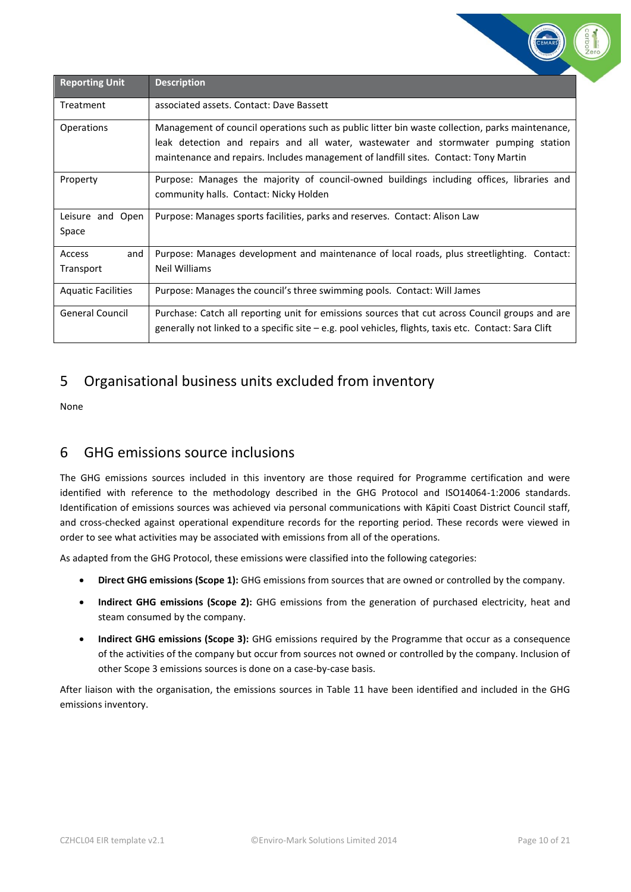| <b>Reporting Unit</b>      | <b>Description</b>                                                                                                                                                                                                                                                             |
|----------------------------|--------------------------------------------------------------------------------------------------------------------------------------------------------------------------------------------------------------------------------------------------------------------------------|
| Treatment                  | associated assets. Contact: Dave Bassett                                                                                                                                                                                                                                       |
| Operations                 | Management of council operations such as public litter bin waste collection, parks maintenance,<br>leak detection and repairs and all water, wastewater and stormwater pumping station<br>maintenance and repairs. Includes management of landfill sites. Contact: Tony Martin |
| Property                   | Purpose: Manages the majority of council-owned buildings including offices, libraries and<br>community halls. Contact: Nicky Holden                                                                                                                                            |
| Leisure and Open<br>Space  | Purpose: Manages sports facilities, parks and reserves. Contact: Alison Law                                                                                                                                                                                                    |
| Access<br>and<br>Transport | Purpose: Manages development and maintenance of local roads, plus streetlighting. Contact:<br>Neil Williams                                                                                                                                                                    |
| <b>Aquatic Facilities</b>  | Purpose: Manages the council's three swimming pools. Contact: Will James                                                                                                                                                                                                       |
| <b>General Council</b>     | Purchase: Catch all reporting unit for emissions sources that cut across Council groups and are<br>generally not linked to a specific site $-e.g.$ pool vehicles, flights, taxis etc. Contact: Sara Clift                                                                      |

# <span id="page-9-0"></span>5 Organisational business units excluded from inventory

None

# <span id="page-9-1"></span>6 GHG emissions source inclusions

The GHG emissions sources included in this inventory are those required for Programme certification and were identified with reference to the methodology described in the GHG Protocol and ISO14064-1:2006 standards. Identification of emissions sources was achieved via personal communications with Kāpiti Coast District Council staff, and cross-checked against operational expenditure records for the reporting period. These records were viewed in order to see what activities may be associated with emissions from all of the operations.

As adapted from the GHG Protocol, these emissions were classified into the following categories:

- **Direct GHG emissions (Scope 1):** GHG emissions from sources that are owned or controlled by the company.
- **Indirect GHG emissions (Scope 2):** GHG emissions from the generation of purchased electricity, heat and steam consumed by the company.
- **Indirect GHG emissions (Scope 3):** GHG emissions required by the Programme that occur as a consequence of the activities of the company but occur from sources not owned or controlled by the company. Inclusion of other Scope 3 emissions sources is done on a case-by-case basis.

After liaison with the organisation, the emissions sources in Table 11 have been identified and included in the GHG emissions inventory.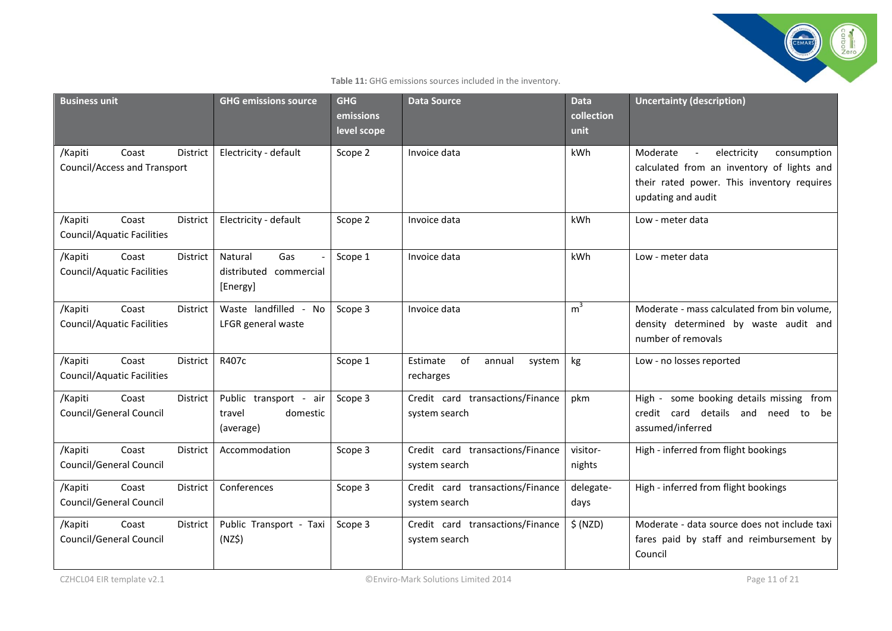

#### **Table 11:** GHG emissions sources included in the inventory.

<span id="page-10-0"></span>

| <b>Business unit</b>                                                       | <b>GHG emissions source</b>                                  | <b>GHG</b><br>emissions<br>level scope | <b>Data Source</b>                                | <b>Data</b><br>collection<br>unit | <b>Uncertainty (description)</b>                                                                                                                                                     |
|----------------------------------------------------------------------------|--------------------------------------------------------------|----------------------------------------|---------------------------------------------------|-----------------------------------|--------------------------------------------------------------------------------------------------------------------------------------------------------------------------------------|
| /Kapiti<br>Coast<br><b>District</b><br><b>Council/Access and Transport</b> | Electricity - default                                        | Scope 2                                | Invoice data                                      | kWh                               | electricity<br>Moderate<br>consumption<br>$\overline{\phantom{a}}$<br>calculated from an inventory of lights and<br>their rated power. This inventory requires<br>updating and audit |
| /Kapiti<br>Coast<br>District<br><b>Council/Aquatic Facilities</b>          | Electricity - default                                        | Scope 2                                | Invoice data                                      | kWh                               | Low - meter data                                                                                                                                                                     |
| /Kapiti<br>Coast<br>District<br><b>Council/Aquatic Facilities</b>          | Gas<br>Natural<br>distributed commercial<br>[Energy]         | Scope 1                                | Invoice data                                      | kWh                               | Low - meter data                                                                                                                                                                     |
| Coast<br>/Kapiti<br>District<br><b>Council/Aquatic Facilities</b>          | Waste landfilled - No<br>LFGR general waste                  | Scope 3                                | Invoice data                                      | m <sup>3</sup>                    | Moderate - mass calculated from bin volume,<br>density determined by waste audit and<br>number of removals                                                                           |
| Coast<br>/Kapiti<br>District<br><b>Council/Aquatic Facilities</b>          | R407c                                                        | Scope 1                                | Estimate<br>of<br>annual<br>system<br>recharges   | kg                                | Low - no losses reported                                                                                                                                                             |
| /Kapiti<br>Coast<br>District<br>Council/General Council                    | Public transport -<br>air<br>domestic<br>travel<br>(average) | Scope 3                                | Credit card transactions/Finance<br>system search | pkm                               | some booking details missing from<br>High -<br>details and<br>credit card<br>need<br>be<br>to<br>assumed/inferred                                                                    |
| Coast<br>/Kapiti<br><b>District</b><br>Council/General Council             | Accommodation                                                | Scope 3                                | Credit card transactions/Finance<br>system search | visitor-<br>nights                | High - inferred from flight bookings                                                                                                                                                 |
| Coast<br>/Kapiti<br>District<br>Council/General Council                    | Conferences                                                  | Scope 3                                | Credit card transactions/Finance<br>system search | delegate-<br>days                 | High - inferred from flight bookings                                                                                                                                                 |
| /Kapiti<br>Coast<br><b>District</b><br>Council/General Council             | Public Transport - Taxi<br>(NZ\$)                            | Scope 3                                | Credit card transactions/Finance<br>system search | \$ (NZD)                          | Moderate - data source does not include taxi<br>fares paid by staff and reimbursement by<br>Council                                                                                  |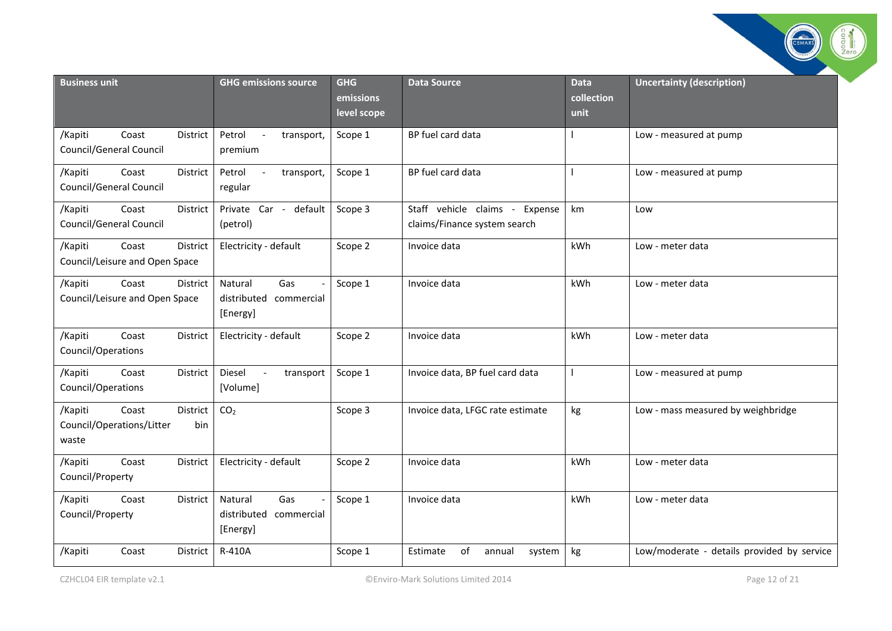|                                                                           |                                                             |                                        |                                                                |                                   | carbo                                      |
|---------------------------------------------------------------------------|-------------------------------------------------------------|----------------------------------------|----------------------------------------------------------------|-----------------------------------|--------------------------------------------|
| <b>Business unit</b>                                                      | <b>GHG emissions source</b>                                 | <b>GHG</b><br>emissions<br>level scope | <b>Data Source</b>                                             | <b>Data</b><br>collection<br>unit | <b>Uncertainty (description)</b>           |
| Coast<br>/Kapiti<br>District<br>Council/General Council                   | Petrol<br>transport,<br>$\overline{\phantom{a}}$<br>premium | Scope 1                                | BP fuel card data                                              |                                   | Low - measured at pump                     |
| /Kapiti<br>Coast<br>District<br>Council/General Council                   | Petrol<br>$\sim$<br>transport,<br>regular                   | Scope 1                                | BP fuel card data                                              |                                   | Low - measured at pump                     |
| /Kapiti<br>Coast<br>District<br>Council/General Council                   | Private Car - default<br>(petrol)                           | Scope 3                                | Staff vehicle claims - Expense<br>claims/Finance system search | km                                | Low                                        |
| Coast<br>/Kapiti<br>District<br>Council/Leisure and Open Space            | Electricity - default                                       | Scope 2                                | Invoice data                                                   | kWh                               | Low - meter data                           |
| Coast<br>/Kapiti<br>District<br>Council/Leisure and Open Space            | Gas<br>Natural<br>distributed<br>commercial<br>[Energy]     | Scope 1                                | Invoice data                                                   | <b>kWh</b>                        | Low - meter data                           |
| Coast<br>/Kapiti<br>District<br>Council/Operations                        | Electricity - default                                       | Scope 2                                | Invoice data                                                   | kWh                               | Low - meter data                           |
| Coast<br>/Kapiti<br>District<br>Council/Operations                        | Diesel<br>transport<br>$\sim$<br>[Volume]                   | Scope 1                                | Invoice data, BP fuel card data                                | $\mathbf{I}$                      | Low - measured at pump                     |
| Coast<br>/Kapiti<br>District<br>Council/Operations/Litter<br>bin<br>waste | CO <sub>2</sub>                                             | Scope 3                                | Invoice data, LFGC rate estimate                               | kg                                | Low - mass measured by weighbridge         |
| /Kapiti<br>Coast<br>District<br>Council/Property                          | Electricity - default                                       | Scope 2                                | Invoice data                                                   | kWh                               | Low - meter data                           |
| /Kapiti<br>Coast<br>District<br>Council/Property                          | Gas<br>Natural<br>distributed<br>commercial<br>[Energy]     | Scope 1                                | Invoice data                                                   | <b>kWh</b>                        | Low - meter data                           |
| District<br>/Kapiti<br>Coast                                              | R-410A                                                      | Scope 1                                | of<br>Estimate<br>annual<br>system                             | kg                                | Low/moderate - details provided by service |

City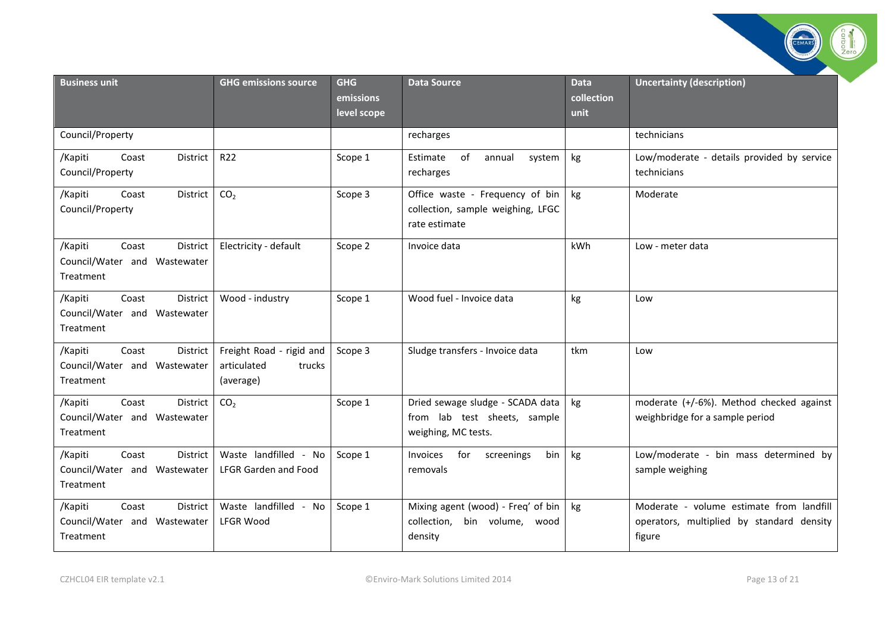| <b>Business unit</b>                                          |                 | <b>GHG emissions source</b>                                    | <b>GHG</b><br>emissions<br>level scope | <b>Data Source</b>                                                                      | <b>Data</b><br>collection<br>unit | <b>Uncertainty (description)</b>                                                                |
|---------------------------------------------------------------|-----------------|----------------------------------------------------------------|----------------------------------------|-----------------------------------------------------------------------------------------|-----------------------------------|-------------------------------------------------------------------------------------------------|
| Council/Property                                              |                 |                                                                |                                        | recharges                                                                               |                                   | technicians                                                                                     |
| /Kapiti<br>Coast<br>Council/Property                          | District        | R22                                                            | Scope 1                                | Estimate<br>of<br>annual<br>system<br>recharges                                         | kg                                | Low/moderate - details provided by service<br>technicians                                       |
| /Kapiti<br>Coast<br>Council/Property                          | District        | CO <sub>2</sub>                                                | Scope 3                                | Office waste - Frequency of bin<br>collection, sample weighing, LFGC<br>rate estimate   | kg                                | Moderate                                                                                        |
| /Kapiti<br>Coast<br>Council/Water and Wastewater<br>Treatment | <b>District</b> | Electricity - default                                          | Scope 2                                | Invoice data                                                                            | kWh                               | Low - meter data                                                                                |
| Coast<br>/Kapiti<br>Council/Water and Wastewater<br>Treatment | District        | Wood - industry                                                | Scope 1                                | Wood fuel - Invoice data                                                                | kg                                | Low                                                                                             |
| /Kapiti<br>Coast<br>Council/Water and Wastewater<br>Treatment | District        | Freight Road - rigid and<br>articulated<br>trucks<br>(average) | Scope 3                                | Sludge transfers - Invoice data                                                         | tkm                               | Low                                                                                             |
| Coast<br>/Kapiti<br>Council/Water and Wastewater<br>Treatment | District        | CO <sub>2</sub>                                                | Scope 1                                | Dried sewage sludge - SCADA data<br>from lab test sheets, sample<br>weighing, MC tests. | kg                                | moderate (+/-6%). Method checked against<br>weighbridge for a sample period                     |
| Coast<br>/Kapiti<br>Council/Water and Wastewater<br>Treatment | <b>District</b> | Waste landfilled - No<br><b>LFGR Garden and Food</b>           | Scope 1                                | for<br><b>Invoices</b><br>screenings<br>bin<br>removals                                 | kg                                | Low/moderate - bin mass determined by<br>sample weighing                                        |
| /Kapiti<br>Coast<br>Council/Water and Wastewater<br>Treatment | District        | Waste landfilled - No<br><b>LFGR Wood</b>                      | Scope 1                                | Mixing agent (wood) - Freq' of bin<br>bin volume, wood<br>collection,<br>density        | kg                                | Moderate - volume estimate from landfill<br>operators, multiplied by standard density<br>figure |

Catalogue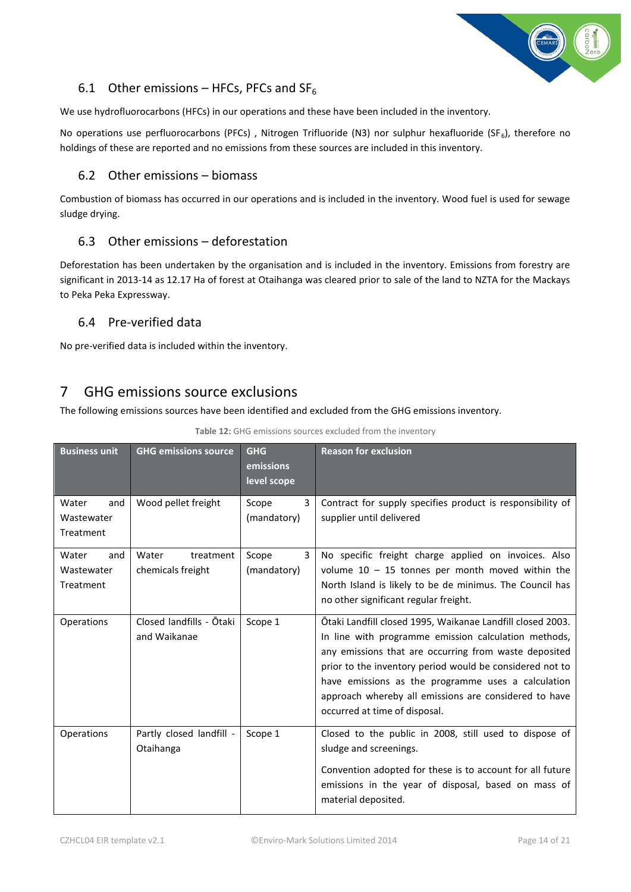

#### <span id="page-13-0"></span>6.1 Other emissions – HFCs, PFCs and  $SF<sub>6</sub>$

We use hydrofluorocarbons (HFCs) in our operations and these have been included in the inventory.

No operations use perfluorocarbons (PFCs), Nitrogen Trifluoride (N3) nor sulphur hexafluoride (SF<sub>6</sub>), therefore no holdings of these are reported and no emissions from these sources are included in this inventory.

#### <span id="page-13-1"></span>6.2 Other emissions – biomass

Combustion of biomass has occurred in our operations and is included in the inventory. Wood fuel is used for sewage sludge drying.

#### <span id="page-13-2"></span>6.3 Other emissions – deforestation

Deforestation has been undertaken by the organisation and is included in the inventory. Emissions from forestry are significant in 2013-14 as 12.17 Ha of forest at Otaihanga was cleared prior to sale of the land to NZTA for the Mackays to Peka Peka Expressway.

#### <span id="page-13-3"></span>6.4 Pre-verified data

No pre-verified data is included within the inventory.

### <span id="page-13-4"></span>7 GHG emissions source exclusions

The following emissions sources have been identified and excluded from the GHG emissions inventory.

<span id="page-13-5"></span>

| <b>Business unit</b>                    | <b>GHG emissions source</b>              | <b>GHG</b><br>emissions<br>level scope | <b>Reason for exclusion</b>                                                                                                                                                                                                                                                                                                                                                             |
|-----------------------------------------|------------------------------------------|----------------------------------------|-----------------------------------------------------------------------------------------------------------------------------------------------------------------------------------------------------------------------------------------------------------------------------------------------------------------------------------------------------------------------------------------|
| Water<br>and<br>Wastewater<br>Treatment | Wood pellet freight                      | Scope<br>3<br>(mandatory)              | Contract for supply specifies product is responsibility of<br>supplier until delivered                                                                                                                                                                                                                                                                                                  |
| Water<br>and<br>Wastewater<br>Treatment | Water<br>treatment<br>chemicals freight  | 3<br>Scope<br>(mandatory)              | No specific freight charge applied on invoices. Also<br>volume $10 - 15$ tonnes per month moved within the<br>North Island is likely to be de minimus. The Council has<br>no other significant regular freight.                                                                                                                                                                         |
| Operations                              | Closed landfills - Ōtaki<br>and Waikanae | Scope 1                                | Ōtaki Landfill closed 1995, Waikanae Landfill closed 2003.<br>In line with programme emission calculation methods,<br>any emissions that are occurring from waste deposited<br>prior to the inventory period would be considered not to<br>have emissions as the programme uses a calculation<br>approach whereby all emissions are considered to have<br>occurred at time of disposal. |
| Operations                              | Partly closed landfill -<br>Otaihanga    | Scope 1                                | Closed to the public in 2008, still used to dispose of<br>sludge and screenings.<br>Convention adopted for these is to account for all future<br>emissions in the year of disposal, based on mass of<br>material deposited.                                                                                                                                                             |

**Table 12:** GHG emissions sources excluded from the inventory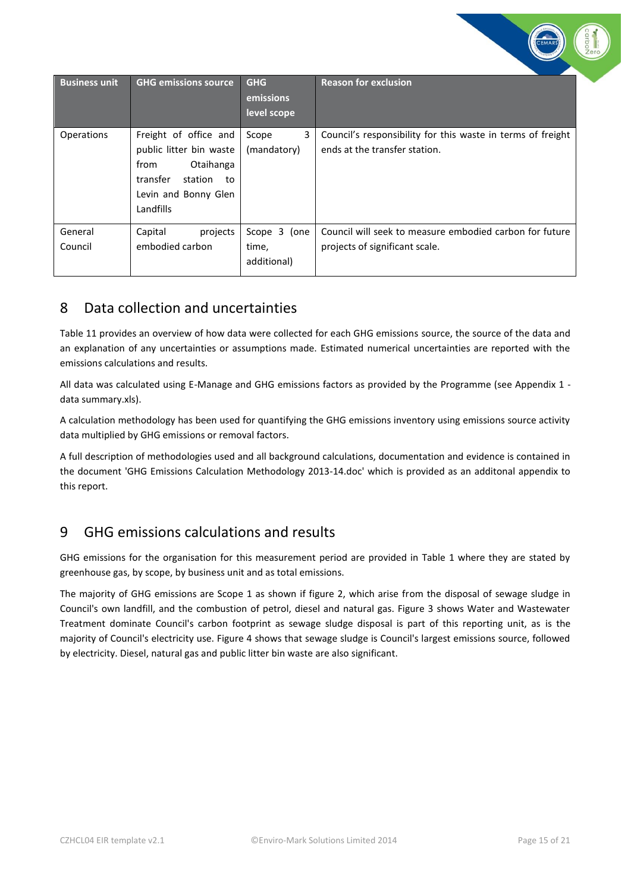| <b>Business unit</b> | <b>GHG emissions source</b>                                                                                                             | <b>GHG</b><br>emissions<br>level scope | <b>Reason for exclusion</b>                                                                  |
|----------------------|-----------------------------------------------------------------------------------------------------------------------------------------|----------------------------------------|----------------------------------------------------------------------------------------------|
| <b>Operations</b>    | Freight of office and<br>public litter bin waste<br>from<br>Otaihanga<br>transfer<br>station<br>to<br>Levin and Bonny Glen<br>Landfills | 3<br>Scope<br>(mandatory)              | Council's responsibility for this waste in terms of freight<br>ends at the transfer station. |
| General<br>Council   | Capital<br>projects<br>embodied carbon                                                                                                  | Scope 3 (one<br>time,<br>additional)   | Council will seek to measure embodied carbon for future<br>projects of significant scale.    |

# <span id="page-14-0"></span>8 Data collection and uncertainties

Table 11 provides an overview of how data were collected for each GHG emissions source, the source of the data and an explanation of any uncertainties or assumptions made. Estimated numerical uncertainties are reported with the emissions calculations and results.

All data was calculated using E-Manage and GHG emissions factors as provided by the Programme (see Appendix 1 data summary.xls).

A calculation methodology has been used for quantifying the GHG emissions inventory using emissions source activity data multiplied by GHG emissions or removal factors.

A full description of methodologies used and all background calculations, documentation and evidence is contained in the document 'GHG Emissions Calculation Methodology 2013-14.doc' which is provided as an additonal appendix to this report.

### <span id="page-14-1"></span>9 GHG emissions calculations and results

GHG emissions for the organisation for this measurement period are provided in Table 1 where they are stated by greenhouse gas, by scope, by business unit and as total emissions.

The majority of GHG emissions are Scope 1 as shown if figure 2, which arise from the disposal of sewage sludge in Council's own landfill, and the combustion of petrol, diesel and natural gas. Figure 3 shows Water and Wastewater Treatment dominate Council's carbon footprint as sewage sludge disposal is part of this reporting unit, as is the majority of Council's electricity use. Figure 4 shows that sewage sludge is Council's largest emissions source, followed by electricity. Diesel, natural gas and public litter bin waste are also significant.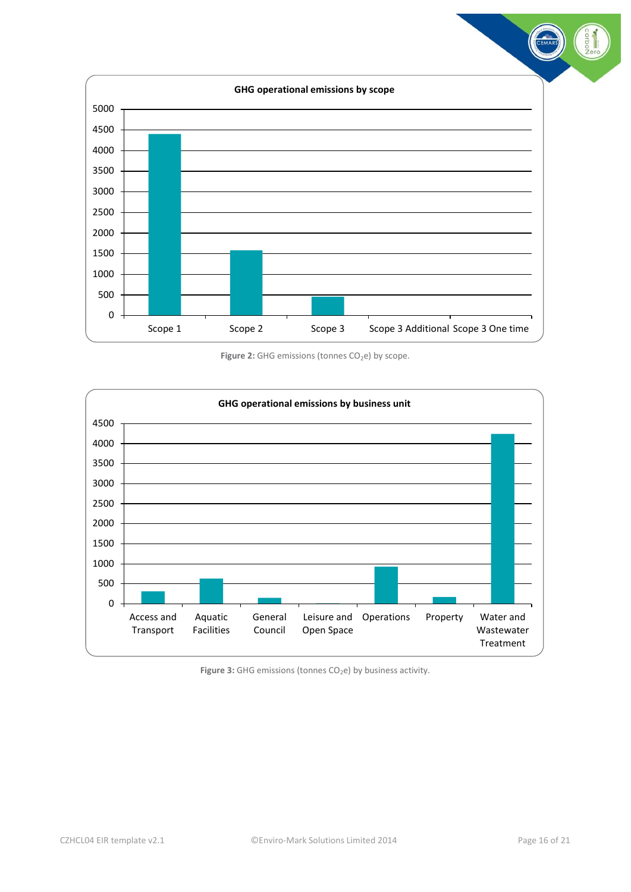

Figure 2: GHG emissions (tonnes CO<sub>2</sub>e) by scope.

<span id="page-15-0"></span>

<span id="page-15-1"></span>Figure 3: GHG emissions (tonnes CO<sub>2</sub>e) by business activity.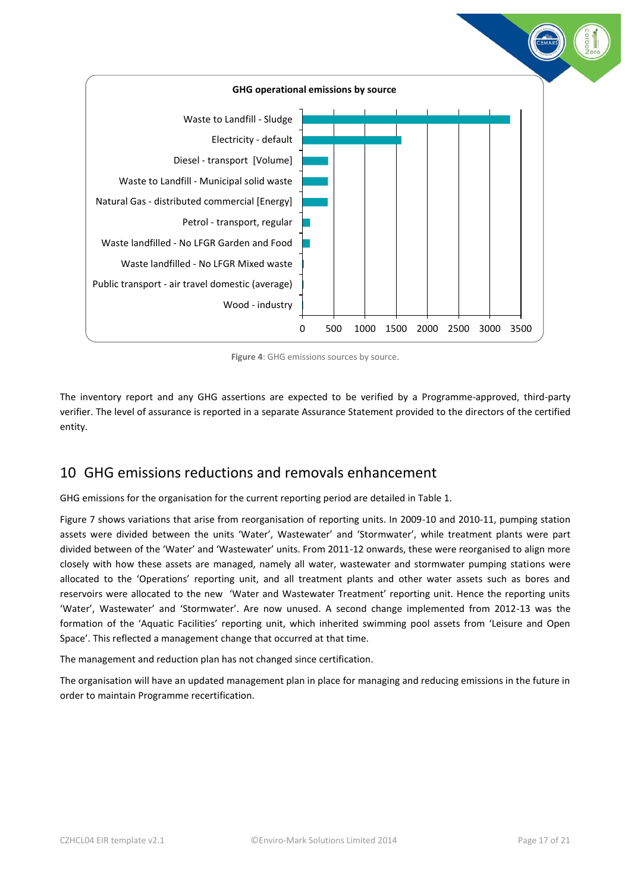

**Figure 4**: GHG emissions sources by source.

<span id="page-16-1"></span>The inventory report and any GHG assertions are expected to be verified by a Programme-approved, third-party verifier. The level of assurance is reported in a separate Assurance Statement provided to the directors of the certified entity.

### <span id="page-16-0"></span>10 GHG emissions reductions and removals enhancement

GHG emissions for the organisation for the current reporting period are detailed in Table 1.

Figure 7 shows variations that arise from reorganisation of reporting units. In 2009-10 and 2010-11, pumping station assets were divided between the units 'Water', Wastewater' and 'Stormwater', while treatment plants were part divided between of the 'Water' and 'Wastewater' units. From 2011-12 onwards, these were reorganised to align more closely with how these assets are managed, namely all water, wastewater and stormwater pumping stations were allocated to the 'Operations' reporting unit, and all treatment plants and other water assets such as bores and reservoirs were allocated to the new 'Water and Wastewater Treatment' reporting unit. Hence the reporting units 'Water', Wastewater' and 'Stormwater'. Are now unused. A second change implemented from 2012-13 was the formation of the 'Aquatic Facilities' reporting unit, which inherited swimming pool assets from 'Leisure and Open Space'. This reflected a management change that occurred at that time.

The management and reduction plan has not changed since certification.

The organisation will have an updated management plan in place for managing and reducing emissions in the future in order to maintain Programme recertification.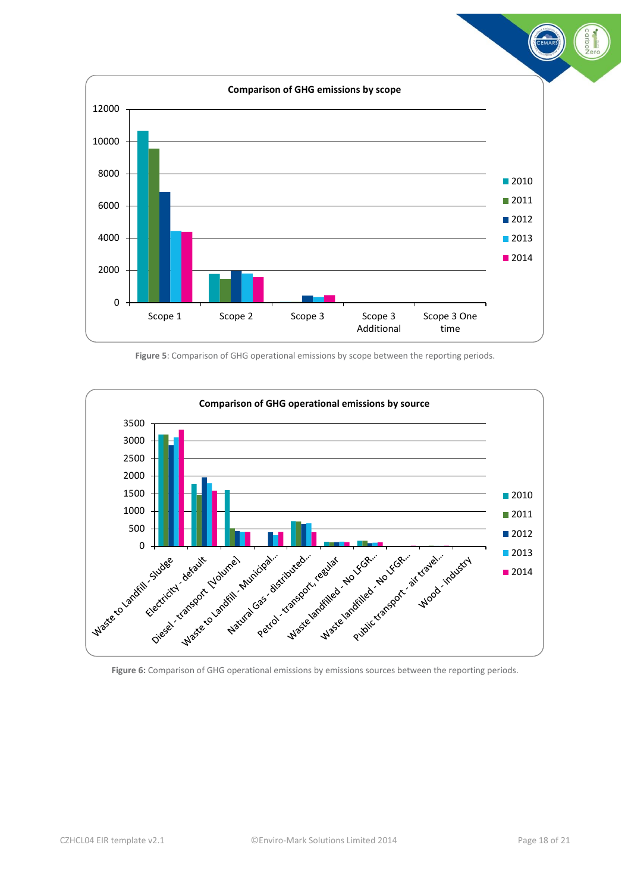

**Figure 5**: Comparison of GHG operational emissions by scope between the reporting periods.

<span id="page-17-0"></span>

<span id="page-17-1"></span>**Figure 6:** Comparison of GHG operational emissions by emissions sources between the reporting periods.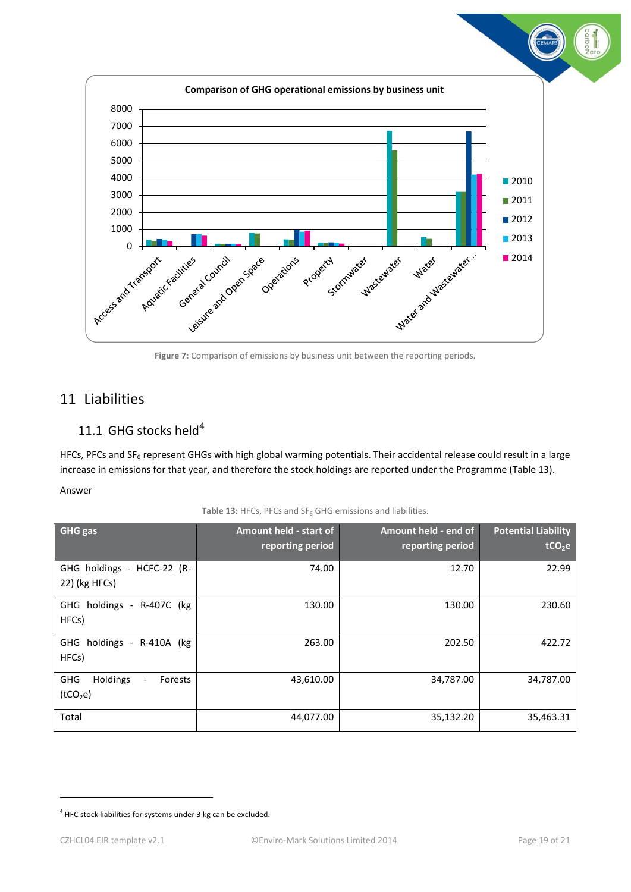

### <span id="page-18-3"></span><span id="page-18-1"></span><span id="page-18-0"></span>11 Liabilities

### 11.1 GHG stocks held $4$

HFCs, PFCs and SF<sub>6</sub> represent GHGs with high global warming potentials. Their accidental release could result in a large increase in emissions for that year, and therefore the stock holdings are reported under the Programme (Table 13).

#### Answer

<span id="page-18-2"></span>

| <b>GHG</b> gas                                                                        | Amount held - start of<br>reporting period | Amount held - end of<br>reporting period | <b>Potential Liability</b><br>tCO <sub>2</sub> e |
|---------------------------------------------------------------------------------------|--------------------------------------------|------------------------------------------|--------------------------------------------------|
| GHG holdings - HCFC-22 (R-<br>22) (kg HFCs)                                           | 74.00                                      | 12.70                                    | 22.99                                            |
| GHG holdings - R-407C (kg<br>HFCs)                                                    | 130.00                                     | 130.00                                   | 230.60                                           |
| GHG holdings - R-410A (kg<br>HFCs)                                                    | 263.00                                     | 202.50                                   | 422.72                                           |
| Holdings<br><b>GHG</b><br>Forests<br>$\overline{\phantom{a}}$<br>(tCO <sub>2</sub> e) | 43,610.00                                  | 34,787.00                                | 34,787.00                                        |
| Total                                                                                 | 44,077.00                                  | 35,132.20                                | 35,463.31                                        |

1

<sup>&</sup>lt;sup>4</sup> HFC stock liabilities for systems under 3 kg can be excluded.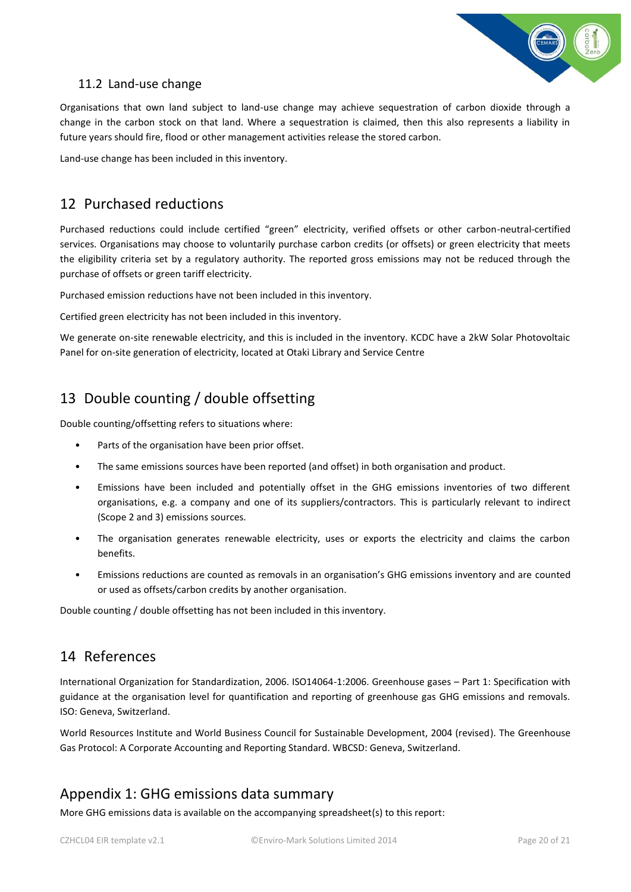

### <span id="page-19-0"></span>11.2 Land-use change

Organisations that own land subject to land-use change may achieve sequestration of carbon dioxide through a change in the carbon stock on that land. Where a sequestration is claimed, then this also represents a liability in future years should fire, flood or other management activities release the stored carbon.

Land-use change has been included in this inventory.

## <span id="page-19-1"></span>12 Purchased reductions

Purchased reductions could include certified "green" electricity, verified offsets or other carbon-neutral-certified services. Organisations may choose to voluntarily purchase carbon credits (or offsets) or green electricity that meets the eligibility criteria set by a regulatory authority. The reported gross emissions may not be reduced through the purchase of offsets or green tariff electricity.

Purchased emission reductions have not been included in this inventory.

Certified green electricity has not been included in this inventory.

We generate on-site renewable electricity, and this is included in the inventory. KCDC have a 2kW Solar Photovoltaic Panel for on-site generation of electricity, located at Otaki Library and Service Centre

# <span id="page-19-2"></span>13 Double counting / double offsetting

Double counting/offsetting refers to situations where:

- Parts of the organisation have been prior offset.
- The same emissions sources have been reported (and offset) in both organisation and product.
- Emissions have been included and potentially offset in the GHG emissions inventories of two different organisations, e.g. a company and one of its suppliers/contractors. This is particularly relevant to indirect (Scope 2 and 3) emissions sources.
- The organisation generates renewable electricity, uses or exports the electricity and claims the carbon benefits.
- Emissions reductions are counted as removals in an organisation's GHG emissions inventory and are counted or used as offsets/carbon credits by another organisation.

Double counting / double offsetting has not been included in this inventory.

# <span id="page-19-3"></span>14 References

International Organization for Standardization, 2006. ISO14064-1:2006. Greenhouse gases – Part 1: Specification with guidance at the organisation level for quantification and reporting of greenhouse gas GHG emissions and removals. ISO: Geneva, Switzerland.

World Resources Institute and World Business Council for Sustainable Development, 2004 (revised). The Greenhouse Gas Protocol: A Corporate Accounting and Reporting Standard. WBCSD: Geneva, Switzerland.

### <span id="page-19-4"></span>Appendix 1: GHG emissions data summary

More GHG emissions data is available on the accompanying spreadsheet(s) to this report: